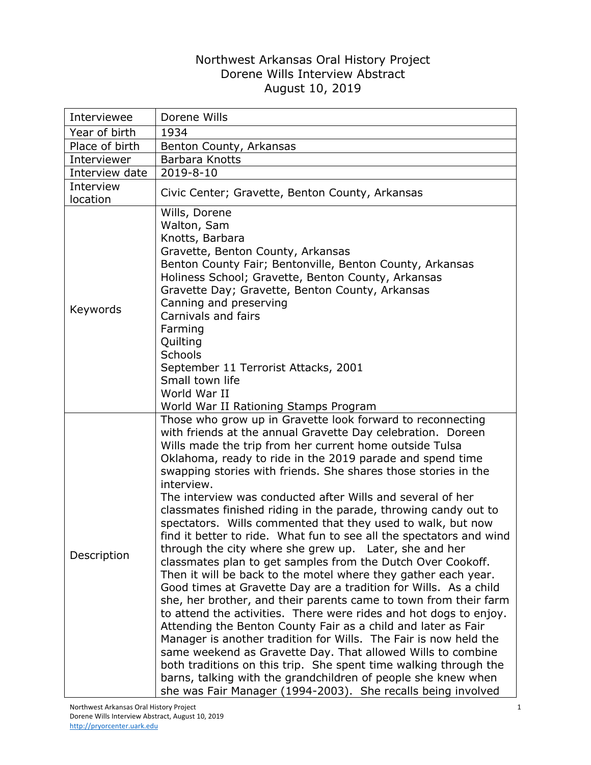## Northwest Arkansas Oral History Project Dorene Wills Interview Abstract August 10, 2019

| Interviewee           | Dorene Wills                                                                                                                                                                                                                                                                                                                                                                                                                                                                                                                                                                                                                                                                                                                                                                                                                                                                                                                                                                                                                                                                                                                                                                                                                                                                                                                                                                                                              |
|-----------------------|---------------------------------------------------------------------------------------------------------------------------------------------------------------------------------------------------------------------------------------------------------------------------------------------------------------------------------------------------------------------------------------------------------------------------------------------------------------------------------------------------------------------------------------------------------------------------------------------------------------------------------------------------------------------------------------------------------------------------------------------------------------------------------------------------------------------------------------------------------------------------------------------------------------------------------------------------------------------------------------------------------------------------------------------------------------------------------------------------------------------------------------------------------------------------------------------------------------------------------------------------------------------------------------------------------------------------------------------------------------------------------------------------------------------------|
|                       |                                                                                                                                                                                                                                                                                                                                                                                                                                                                                                                                                                                                                                                                                                                                                                                                                                                                                                                                                                                                                                                                                                                                                                                                                                                                                                                                                                                                                           |
| Year of birth         | 1934                                                                                                                                                                                                                                                                                                                                                                                                                                                                                                                                                                                                                                                                                                                                                                                                                                                                                                                                                                                                                                                                                                                                                                                                                                                                                                                                                                                                                      |
| Place of birth        | Benton County, Arkansas                                                                                                                                                                                                                                                                                                                                                                                                                                                                                                                                                                                                                                                                                                                                                                                                                                                                                                                                                                                                                                                                                                                                                                                                                                                                                                                                                                                                   |
| Interviewer           | Barbara Knotts                                                                                                                                                                                                                                                                                                                                                                                                                                                                                                                                                                                                                                                                                                                                                                                                                                                                                                                                                                                                                                                                                                                                                                                                                                                                                                                                                                                                            |
| Interview date        | 2019-8-10                                                                                                                                                                                                                                                                                                                                                                                                                                                                                                                                                                                                                                                                                                                                                                                                                                                                                                                                                                                                                                                                                                                                                                                                                                                                                                                                                                                                                 |
| Interview<br>location | Civic Center; Gravette, Benton County, Arkansas                                                                                                                                                                                                                                                                                                                                                                                                                                                                                                                                                                                                                                                                                                                                                                                                                                                                                                                                                                                                                                                                                                                                                                                                                                                                                                                                                                           |
| Keywords              | Wills, Dorene<br>Walton, Sam<br>Knotts, Barbara<br>Gravette, Benton County, Arkansas<br>Benton County Fair; Bentonville, Benton County, Arkansas<br>Holiness School; Gravette, Benton County, Arkansas<br>Gravette Day; Gravette, Benton County, Arkansas<br>Canning and preserving<br>Carnivals and fairs<br>Farming<br>Quilting<br>Schools<br>September 11 Terrorist Attacks, 2001<br>Small town life<br>World War II<br>World War II Rationing Stamps Program                                                                                                                                                                                                                                                                                                                                                                                                                                                                                                                                                                                                                                                                                                                                                                                                                                                                                                                                                          |
| Description           | Those who grow up in Gravette look forward to reconnecting<br>with friends at the annual Gravette Day celebration. Doreen<br>Wills made the trip from her current home outside Tulsa<br>Oklahoma, ready to ride in the 2019 parade and spend time<br>swapping stories with friends. She shares those stories in the<br>interview.<br>The interview was conducted after Wills and several of her<br>classmates finished riding in the parade, throwing candy out to<br>spectators. Wills commented that they used to walk, but now<br>find it better to ride. What fun to see all the spectators and wind<br>through the city where she grew up. Later, she and her<br>classmates plan to get samples from the Dutch Over Cookoff.<br>Then it will be back to the motel where they gather each year.<br>Good times at Gravette Day are a tradition for Wills. As a child<br>she, her brother, and their parents came to town from their farm<br>to attend the activities. There were rides and hot dogs to enjoy.<br>Attending the Benton County Fair as a child and later as Fair<br>Manager is another tradition for Wills. The Fair is now held the<br>same weekend as Gravette Day. That allowed Wills to combine<br>both traditions on this trip. She spent time walking through the<br>barns, talking with the grandchildren of people she knew when<br>she was Fair Manager (1994-2003). She recalls being involved |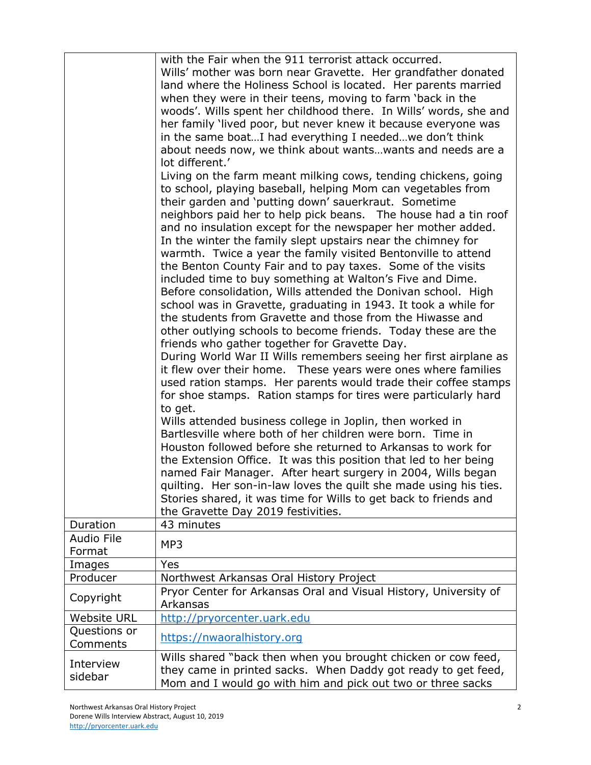|                             | with the Fair when the 911 terrorist attack occurred.<br>Wills' mother was born near Gravette. Her grandfather donated<br>land where the Holiness School is located. Her parents married<br>when they were in their teens, moving to farm 'back in the<br>woods'. Wills spent her childhood there. In Wills' words, she and<br>her family 'lived poor, but never knew it because everyone was<br>in the same boatI had everything I neededwe don't think<br>about needs now, we think about wants wants and needs are a<br>lot different.'<br>Living on the farm meant milking cows, tending chickens, going<br>to school, playing baseball, helping Mom can vegetables from<br>their garden and 'putting down' sauerkraut. Sometime<br>neighbors paid her to help pick beans. The house had a tin roof<br>and no insulation except for the newspaper her mother added.<br>In the winter the family slept upstairs near the chimney for<br>warmth. Twice a year the family visited Bentonville to attend<br>the Benton County Fair and to pay taxes. Some of the visits<br>included time to buy something at Walton's Five and Dime.<br>Before consolidation, Wills attended the Donivan school. High<br>school was in Gravette, graduating in 1943. It took a while for<br>the students from Gravette and those from the Hiwasse and<br>other outlying schools to become friends. Today these are the<br>friends who gather together for Gravette Day.<br>During World War II Wills remembers seeing her first airplane as<br>it flew over their home. These years were ones where families<br>used ration stamps. Her parents would trade their coffee stamps<br>for shoe stamps. Ration stamps for tires were particularly hard<br>to get.<br>Wills attended business college in Joplin, then worked in<br>Bartlesville where both of her children were born. Time in<br>Houston followed before she returned to Arkansas to work for<br>the Extension Office. It was this position that led to her being<br>named Fair Manager. After heart surgery in 2004, Wills began<br>quilting. Her son-in-law loves the quilt she made using his ties.<br>Stories shared, it was time for Wills to get back to friends and<br>the Gravette Day 2019 festivities. |
|-----------------------------|-------------------------------------------------------------------------------------------------------------------------------------------------------------------------------------------------------------------------------------------------------------------------------------------------------------------------------------------------------------------------------------------------------------------------------------------------------------------------------------------------------------------------------------------------------------------------------------------------------------------------------------------------------------------------------------------------------------------------------------------------------------------------------------------------------------------------------------------------------------------------------------------------------------------------------------------------------------------------------------------------------------------------------------------------------------------------------------------------------------------------------------------------------------------------------------------------------------------------------------------------------------------------------------------------------------------------------------------------------------------------------------------------------------------------------------------------------------------------------------------------------------------------------------------------------------------------------------------------------------------------------------------------------------------------------------------------------------------------------------------------------------------------------------------------------------------------------------------------------------------------------------------------------------------------------------------------------------------------------------------------------------------------------------------------------------------------------------------------------------------------------------------------------------------------------------------------------------------------------------------------------------|
| Duration                    | 43 minutes                                                                                                                                                                                                                                                                                                                                                                                                                                                                                                                                                                                                                                                                                                                                                                                                                                                                                                                                                                                                                                                                                                                                                                                                                                                                                                                                                                                                                                                                                                                                                                                                                                                                                                                                                                                                                                                                                                                                                                                                                                                                                                                                                                                                                                                  |
| <b>Audio File</b><br>Format | MP3                                                                                                                                                                                                                                                                                                                                                                                                                                                                                                                                                                                                                                                                                                                                                                                                                                                                                                                                                                                                                                                                                                                                                                                                                                                                                                                                                                                                                                                                                                                                                                                                                                                                                                                                                                                                                                                                                                                                                                                                                                                                                                                                                                                                                                                         |
| Images                      | Yes                                                                                                                                                                                                                                                                                                                                                                                                                                                                                                                                                                                                                                                                                                                                                                                                                                                                                                                                                                                                                                                                                                                                                                                                                                                                                                                                                                                                                                                                                                                                                                                                                                                                                                                                                                                                                                                                                                                                                                                                                                                                                                                                                                                                                                                         |
| Producer                    | Northwest Arkansas Oral History Project                                                                                                                                                                                                                                                                                                                                                                                                                                                                                                                                                                                                                                                                                                                                                                                                                                                                                                                                                                                                                                                                                                                                                                                                                                                                                                                                                                                                                                                                                                                                                                                                                                                                                                                                                                                                                                                                                                                                                                                                                                                                                                                                                                                                                     |
| Copyright                   | Pryor Center for Arkansas Oral and Visual History, University of<br>Arkansas                                                                                                                                                                                                                                                                                                                                                                                                                                                                                                                                                                                                                                                                                                                                                                                                                                                                                                                                                                                                                                                                                                                                                                                                                                                                                                                                                                                                                                                                                                                                                                                                                                                                                                                                                                                                                                                                                                                                                                                                                                                                                                                                                                                |
| <b>Website URL</b>          | http://pryorcenter.uark.edu                                                                                                                                                                                                                                                                                                                                                                                                                                                                                                                                                                                                                                                                                                                                                                                                                                                                                                                                                                                                                                                                                                                                                                                                                                                                                                                                                                                                                                                                                                                                                                                                                                                                                                                                                                                                                                                                                                                                                                                                                                                                                                                                                                                                                                 |
| Questions or<br>Comments    | https://nwaoralhistory.org                                                                                                                                                                                                                                                                                                                                                                                                                                                                                                                                                                                                                                                                                                                                                                                                                                                                                                                                                                                                                                                                                                                                                                                                                                                                                                                                                                                                                                                                                                                                                                                                                                                                                                                                                                                                                                                                                                                                                                                                                                                                                                                                                                                                                                  |
| Interview<br>sidebar        | Wills shared "back then when you brought chicken or cow feed,<br>they came in printed sacks. When Daddy got ready to get feed,<br>Mom and I would go with him and pick out two or three sacks                                                                                                                                                                                                                                                                                                                                                                                                                                                                                                                                                                                                                                                                                                                                                                                                                                                                                                                                                                                                                                                                                                                                                                                                                                                                                                                                                                                                                                                                                                                                                                                                                                                                                                                                                                                                                                                                                                                                                                                                                                                               |